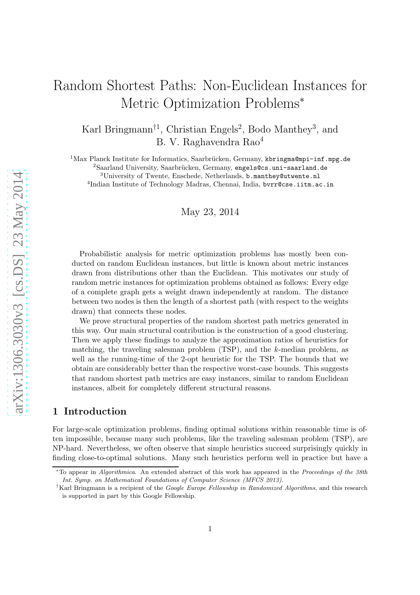# Random Shortest Paths: Non-Euclidean Instances for Metric Optimization Problems<sup>∗</sup>

Karl Bringmann<sup>†1</sup>, Christian Engels<sup>2</sup>, Bodo Manthey<sup>3</sup>, and B. V. Raghavendra Rao<sup>4</sup>

 $1$ Max Planck Institute for Informatics, Saarbrücken, Germany, kbringma@mpi-inf.mpg.de  ${}^{2}$ Saarland University, Saarbrücken, Germany, engels@cs.uni-saarland.de

<sup>3</sup>University of Twente, Enschede, Netherlands, b.manthey@utwente.nl

4 Indian Institute of Technology Madras, Chennai, India, bvrr@cse.iitm.ac.in

May 23, 2014

Probabilistic analysis for metric optimization problems has mostly been conducted on random Euclidean instances, but little is known about metric instances drawn from distributions other than the Euclidean. This motivates our study of random metric instances for optimization problems obtained as follows: Every edge of a complete graph gets a weight drawn independently at random. The distance between two nodes is then the length of a shortest path (with respect to the weights drawn) that connects these nodes.

We prove structural properties of the random shortest path metrics generated in this way. Our main structural contribution is the construction of a good clustering. Then we apply these findings to analyze the approximation ratios of heuristics for matching, the traveling salesman problem (TSP), and the k-median problem, as well as the running-time of the 2-opt heuristic for the TSP. The bounds that we obtain are considerably better than the respective worst-case bounds. This suggests that random shortest path metrics are easy instances, similar to random Euclidean instances, albeit for completely different structural reasons.

## 1 Introduction

For large-scale optimization problems, finding optimal solutions within reasonable time is often impossible, because many such problems, like the traveling salesman problem (TSP), are NP-hard. Nevertheless, we often observe that simple heuristics succeed surprisingly quickly in finding close-to-optimal solutions. Many such heuristics perform well in practice but have a

<sup>∗</sup>To appear in Algorithmica. An extended abstract of this work has appeared in the Proceedings of the 38th Int. Symp. on Mathematical Foundations of Computer Science (MFCS 2013).

<sup>&</sup>lt;sup>†</sup>Karl Bringmann is a recipient of the Google Europe Fellowship in Randomized Algorithms, and this research is supported in part by this Google Fellowship.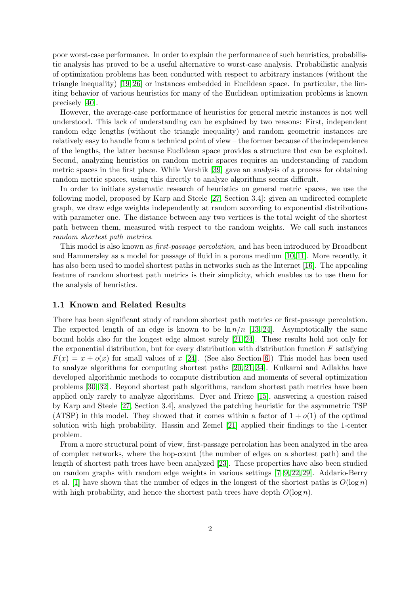poor worst-case performance. In order to explain the performance of such heuristics, probabilistic analysis has proved to be a useful alternative to worst-case analysis. Probabilistic analysis of optimization problems has been conducted with respect to arbitrary instances (without the triangle inequality) [\[19,](#page-17-0) [26\]](#page-18-0) or instances embedded in Euclidean space. In particular, the limiting behavior of various heuristics for many of the Euclidean optimization problems is known precisely [\[40\]](#page-19-0).

However, the average-case performance of heuristics for general metric instances is not well understood. This lack of understanding can be explained by two reasons: First, independent random edge lengths (without the triangle inequality) and random geometric instances are relatively easy to handle from a technical point of view – the former because of the independence of the lengths, the latter because Euclidean space provides a structure that can be exploited. Second, analyzing heuristics on random metric spaces requires an understanding of random metric spaces in the first place. While Vershik [\[39\]](#page-18-1) gave an analysis of a process for obtaining random metric spaces, using this directly to analyze algorithms seems difficult.

In order to initiate systematic research of heuristics on general metric spaces, we use the following model, proposed by Karp and Steele [\[27,](#page-18-2) Section 3.4]: given an undirected complete graph, we draw edge weights independently at random according to exponential distributions with parameter one. The distance between any two vertices is the total weight of the shortest path between them, measured with respect to the random weights. We call such instances random shortest path metrics.

This model is also known as first-passage percolation, and has been introduced by Broadbent and Hammersley as a model for passage of fluid in a porous medium [\[10,](#page-17-1) [11\]](#page-17-2). More recently, it has also been used to model shortest paths in networks such as the Internet [\[16\]](#page-17-3). The appealing feature of random shortest path metrics is their simplicity, which enables us to use them for the analysis of heuristics.

#### 1.1 Known and Related Results

There has been significant study of random shortest path metrics or first-passage percolation. The expected length of an edge is known to be  $\ln n/n$  [\[13,](#page-17-4) [24\]](#page-17-5). Asymptotically the same bound holds also for the longest edge almost surely [\[21,](#page-17-6) [24\]](#page-17-5). These results hold not only for the exponential distribution, but for every distribution with distribution function  $F$  satisfying  $F(x) = x + o(x)$  for small values of x [\[24\]](#page-17-5). (See also Section [6.](#page-15-0)) This model has been used to analyze algorithms for computing shortest paths [\[20,](#page-17-7) [21,](#page-17-6) [34\]](#page-18-3). Kulkarni and Adlakha have developed algorithmic methods to compute distribution and moments of several optimization problems [\[30](#page-18-4)[–32\]](#page-18-5). Beyond shortest path algorithms, random shortest path metrics have been applied only rarely to analyze algorithms. Dyer and Frieze [\[15\]](#page-17-8), answering a question raised by Karp and Steele [\[27,](#page-18-2) Section 3.4], analyzed the patching heuristic for the asymmetric TSP (ATSP) in this model. They showed that it comes within a factor of  $1 + o(1)$  of the optimal solution with high probability. Hassin and Zemel [\[21\]](#page-17-6) applied their findings to the 1-center problem.

From a more structural point of view, first-passage percolation has been analyzed in the area of complex networks, where the hop-count (the number of edges on a shortest path) and the length of shortest path trees have been analyzed [\[23\]](#page-17-9). These properties have also been studied on random graphs with random edge weights in various settings [\[7–](#page-16-0)[9,](#page-17-10) [22,](#page-17-11) [29\]](#page-18-6). Addario-Berry et al. [\[1\]](#page-16-1) have shown that the number of edges in the longest of the shortest paths is  $O(\log n)$ with high probability, and hence the shortest path trees have depth  $O(\log n)$ .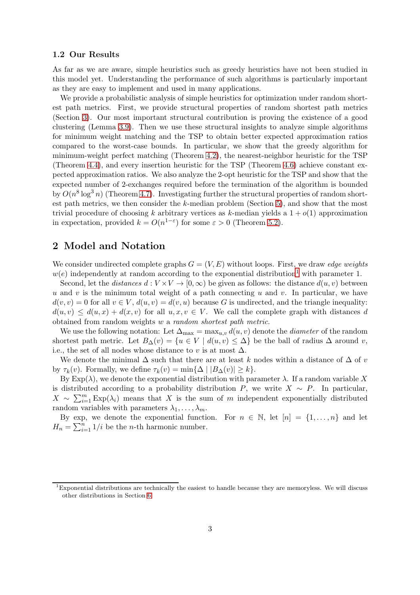#### 1.2 Our Results

As far as we are aware, simple heuristics such as greedy heuristics have not been studied in this model yet. Understanding the performance of such algorithms is particularly important as they are easy to implement and used in many applications.

We provide a probabilistic analysis of simple heuristics for optimization under random shortest path metrics. First, we provide structural properties of random shortest path metrics (Section [3\)](#page-3-0). Our most important structural contribution is proving the existence of a good clustering (Lemma [3.9\)](#page-6-0). Then we use these structural insights to analyze simple algorithms for minimum weight matching and the TSP to obtain better expected approximation ratios compared to the worst-case bounds. In particular, we show that the greedy algorithm for minimum-weight perfect matching (Theorem [4.2\)](#page-7-0), the nearest-neighbor heuristic for the TSP (Theorem [4.4\)](#page-8-0), and every insertion heuristic for the TSP (Theorem [4.6\)](#page-9-0) achieve constant expected approximation ratios. We also analyze the 2-opt heuristic for the TSP and show that the expected number of 2-exchanges required before the termination of the algorithm is bounded by  $O(n^8 \log^3 n)$  (Theorem [4.7\)](#page-10-0). Investigating further the structural properties of random shortest path metrics, we then consider the k-median problem (Section [5\)](#page-12-0), and show that the most trivial procedure of choosing k arbitrary vertices as k-median yields a  $1 + o(1)$  approximation in expectation, provided  $k = O(n^{1-\epsilon})$  for some  $\varepsilon > 0$  (Theorem [5.2\)](#page-12-1).

# 2 Model and Notation

We consider undirected complete graphs  $G = (V, E)$  without loops. First, we draw *edge weights*  $w(e)$  independently at random according to the exponential distribution<sup>[1](#page-2-0)</sup> with parameter 1.

Second, let the *distances*  $d: V \times V \to [0, \infty)$  be given as follows: the distance  $d(u, v)$  between u and v is the minimum total weight of a path connecting u and v. In particular, we have  $d(v, v) = 0$  for all  $v \in V$ ,  $d(u, v) = d(v, u)$  because G is undirected, and the triangle inequality:  $d(u, v) \leq d(u, x) + d(x, v)$  for all  $u, x, v \in V$ . We call the complete graph with distances d obtained from random weights w a random shortest path metric.

We use the following notation: Let  $\Delta_{\text{max}} = \max_{u,v} d(u,v)$  denote the *diameter* of the random shortest path metric. Let  $B_{\Delta}(v) = \{u \in V \mid d(u, v) \leq \Delta\}$  be the ball of radius  $\Delta$  around v, i.e., the set of all nodes whose distance to v is at most  $\Delta$ .

We denote the minimal  $\Delta$  such that there are at least k nodes within a distance of  $\Delta$  of v by  $\tau_k(v)$ . Formally, we define  $\tau_k(v) = \min{\{\Delta \mid |B_{\Delta}(v)| \geq k\}}$ .

By  $Exp(\lambda)$ , we denote the exponential distribution with parameter  $\lambda$ . If a random variable X is distributed according to a probability distribution  $P$ , we write  $X \sim P$ . In particular,  $X \sim \sum_{i=1}^{m} \text{Exp}(\lambda_i)$  means that X is the sum of m independent exponentially distributed random variables with parameters  $\lambda_1, \ldots, \lambda_m$ .

By exp, we denote the exponential function. For  $n \in \mathbb{N}$ , let  $[n] = \{1, \ldots, n\}$  and let  $H_n = \sum_{i=1}^n 1/i$  be the *n*-th harmonic number.

<span id="page-2-0"></span><sup>1</sup>Exponential distributions are technically the easiest to handle because they are memoryless. We will discuss other distributions in Section [6.](#page-15-0)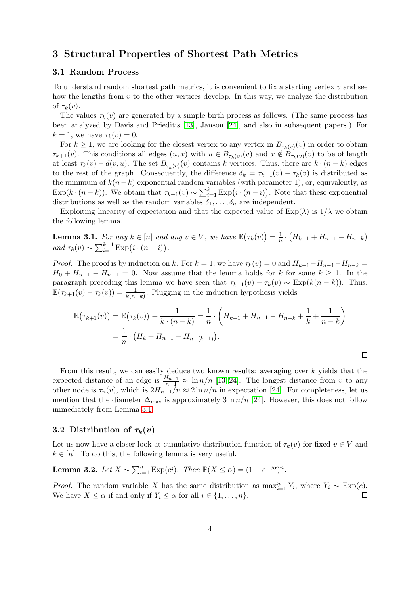# <span id="page-3-0"></span>3 Structural Properties of Shortest Path Metrics

#### 3.1 Random Process

To understand random shortest path metrics, it is convenient to fix a starting vertex  $v$  and see how the lengths from  $v$  to the other vertices develop. In this way, we analyze the distribution of  $\tau_k(v)$ .

The values  $\tau_k(v)$  are generated by a simple birth process as follows. (The same process has been analyzed by Davis and Prieditis [\[13\]](#page-17-4), Janson [\[24\]](#page-17-5), and also in subsequent papers.) For  $k = 1$ , we have  $\tau_k(v) = 0$ .

For  $k \geq 1$ , we are looking for the closest vertex to any vertex in  $B_{\tau_k(v)}(v)$  in order to obtain  $\tau_{k+1}(v)$ . This conditions all edges  $(u, x)$  with  $u \in B_{\tau_k(v)}(v)$  and  $x \notin B_{\tau_k(v)}(v)$  to be of length at least  $\tau_k(v) - d(v, u)$ . The set  $B_{\tau_k(v)}(v)$  contains k vertices. Thus, there are  $k \cdot (n - k)$  edges to the rest of the graph. Consequently, the difference  $\delta_k = \tau_{k+1}(v) - \tau_k(v)$  is distributed as the minimum of  $k(n-k)$  exponential random variables (with parameter 1), or, equivalently, as  $\text{Exp}(k \cdot (n-k))$ . We obtain that  $\tau_{k+1}(v) \sim \sum_{i=1}^{k} \text{Exp}(i \cdot (n-i))$ . Note that these exponential distributions as well as the random variables  $\delta_1, \ldots, \delta_n$  are independent.

Exploiting linearity of expectation and that the expected value of  $Exp(\lambda)$  is  $1/\lambda$  we obtain the following lemma.

<span id="page-3-1"></span>**Lemma 3.1.** For any  $k \in [n]$  and any  $v \in V$ , we have  $\mathbb{E}(\tau_k(v)) = \frac{1}{n} \cdot (H_{k-1} + H_{n-1} - H_{n-k})$ and  $\tau_k(v) \sim \sum_{i=1}^{k-1} \text{Exp}(i \cdot (n-i)).$ 

*Proof.* The proof is by induction on k. For  $k = 1$ , we have  $\tau_k(v) = 0$  and  $H_{k-1} + H_{n-1} - H_{n-k} =$  $H_0 + H_{n-1} - H_{n-1} = 0$ . Now assume that the lemma holds for k for some  $k \ge 1$ . In the paragraph preceding this lemma we have seen that  $\tau_{k+1}(v) - \tau_k(v) \sim \text{Exp}(k(n-k))$ . Thus,  $\mathbb{E}(\tau_{k+1}(v) - \tau_k(v)) = \frac{1}{k(n-k)}$ . Plugging in the induction hypothesis yields

$$
\mathbb{E}(\tau_{k+1}(v)) = \mathbb{E}(\tau_k(v)) + \frac{1}{k \cdot (n-k)} = \frac{1}{n} \cdot \left( H_{k-1} + H_{n-1} - H_{n-k} + \frac{1}{k} + \frac{1}{n-k} \right)
$$

$$
= \frac{1}{n} \cdot \left( H_k + H_{n-1} - H_{n-(k+1)} \right).
$$

 $\Box$ 

From this result, we can easily deduce two known results: averaging over k yields that the expected distance of an edge is  $\frac{H_{n-1}}{n-1} \approx \ln n/n$  [\[13,](#page-17-4) [24\]](#page-17-5). The longest distance from v to any other node is  $\tau_n(v)$ , which is  $2H_{n-1}/n \approx 2 \ln n/n$  in expectation [\[24\]](#page-17-5). For completeness, let us mention that the diameter  $\Delta_{\text{max}}$  is approximately 3ln  $n/n$  [\[24\]](#page-17-5). However, this does not follow immediately from Lemma [3.1.](#page-3-1)

#### <span id="page-3-3"></span>3.2 Distribution of  $\tau_k(v)$

Let us now have a closer look at cumulative distribution function of  $\tau_k(v)$  for fixed  $v \in V$  and  $k \in [n]$ . To do this, the following lemma is very useful.

<span id="page-3-2"></span>**Lemma 3.2.** Let  $X \sim \sum_{i=1}^{n} \text{Exp}(ci)$ . Then  $\mathbb{P}(X \le \alpha) = (1 - e^{-c\alpha})^n$ .

*Proof.* The random variable X has the same distribution as  $\max_{i=1}^{n} Y_i$ , where  $Y_i \sim \text{Exp}(c)$ . We have  $X \leq \alpha$  if and only if  $Y_i \leq \alpha$  for all  $i \in \{1, \ldots, n\}.$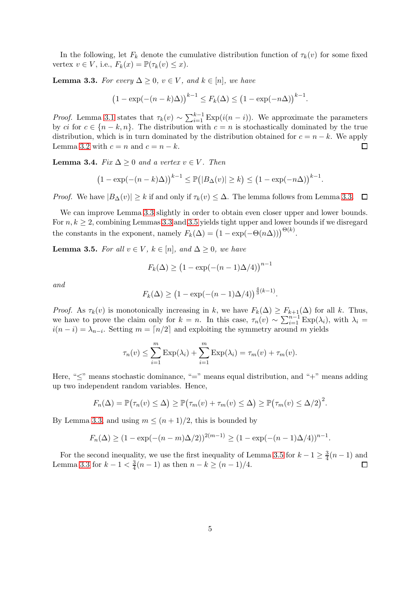In the following, let  $F_k$  denote the cumulative distribution function of  $\tau_k(v)$  for some fixed vertex  $v \in V$ , i.e.,  $F_k(x) = \mathbb{P}(\tau_k(v) \leq x)$ .

<span id="page-4-0"></span>**Lemma 3.3.** For every  $\Delta \geq 0$ ,  $v \in V$ , and  $k \in [n]$ , we have

$$
(1 - \exp(-(n-k)\Delta))^{k-1} \le F_k(\Delta) \le (1 - \exp(-n\Delta))^{k-1}.
$$

*Proof.* Lemma [3.1](#page-3-1) states that  $\tau_k(v) \sim \sum_{i=1}^{k-1} \text{Exp}(i(n-i))$ . We approximate the parameters by ci for  $c \in \{n-k, n\}$ . The distribution with  $c = n$  is stochastically dominated by the true distribution, which is in turn dominated by the distribution obtained for  $c = n - k$ . We apply Lemma 3.2 with  $c = n$  and  $c = n - k$ . Lemma [3.2](#page-3-2) with  $c = n$  and  $c = n - k$ .

<span id="page-4-2"></span>**Lemma 3.4.** Fix  $\Delta \geq 0$  and a vertex  $v \in V$ . Then

$$
(1 - \exp(-(n - k)\Delta))^{k-1} \le \mathbb{P}(|B_{\Delta}(v)| \ge k) \le (1 - \exp(-n\Delta))^{k-1}
$$

.

*Proof.* We have  $|B_{\Delta}(v)| \geq k$  if and only if  $\tau_k(v) \leq \Delta$ . The lemma follows from Lemma [3.3.](#page-4-0)  $\square$ 

We can improve Lemma [3.3](#page-4-0) slightly in order to obtain even closer upper and lower bounds. For  $n, k \geq 2$ , combining Lemmas [3.3](#page-4-0) and [3.5](#page-4-1) yields tight upper and lower bounds if we disregard the constants in the exponent, namely  $F_k(\Delta) = (1 - \exp(-\Theta(n\Delta)))^{\Theta(k)}$ .

<span id="page-4-1"></span>**Lemma 3.5.** For all  $v \in V$ ,  $k \in [n]$ , and  $\Delta \geq 0$ , we have

$$
F_k(\Delta) \ge (1 - \exp(-(n-1)\Delta/4))^{n-1}
$$

and

$$
F_k(\Delta) \ge (1 - \exp(-(n-1)\Delta/4))^{\frac{4}{3}(k-1)}
$$

.

*Proof.* As  $\tau_k(v)$  is monotonically increasing in k, we have  $F_k(\Delta) \geq F_{k+1}(\Delta)$  for all k. Thus, we have to prove the claim only for  $k = n$ . In this case,  $\tau_n(v) \sim \sum_{i=1}^{n-1} \text{Exp}(\lambda_i)$ , with  $\lambda_i =$  $i(n-i) = \lambda_{n-i}$ . Setting  $m = \lceil n/2 \rceil$  and exploiting the symmetry around m yields

$$
\tau_n(v) \leq \sum_{i=1}^m \mathrm{Exp}(\lambda_i) + \sum_{i=1}^m \mathrm{Exp}(\lambda_i) = \tau_m(v) + \tau_m(v).
$$

Here, " $\lt$ " means stochastic dominance, " $\equiv$ " means equal distribution, and " $\pm$ " means adding up two independent random variables. Hence,

$$
F_n(\Delta) = \mathbb{P}(\tau_n(v) \leq \Delta) \geq \mathbb{P}(\tau_m(v) + \tau_m(v) \leq \Delta) \geq \mathbb{P}(\tau_m(v) \leq \Delta/2)^2.
$$

By Lemma [3.3,](#page-4-0) and using  $m \leq (n+1)/2$ , this is bounded by

$$
F_n(\Delta) \ge (1 - \exp(-(n-m)\Delta/2))^{2(m-1)} \ge (1 - \exp(-(n-1)\Delta/4))^{n-1}.
$$

For the second inequality, we use the first inequality of Lemma [3.5](#page-4-1) for  $k - 1 \ge \frac{3}{4}(n - 1)$  and Lemma [3.3](#page-4-0) for  $k-1 < \frac{3}{4}$  $\frac{3}{4}(n-1)$  as then  $n-k \ge (n-1)/4$ .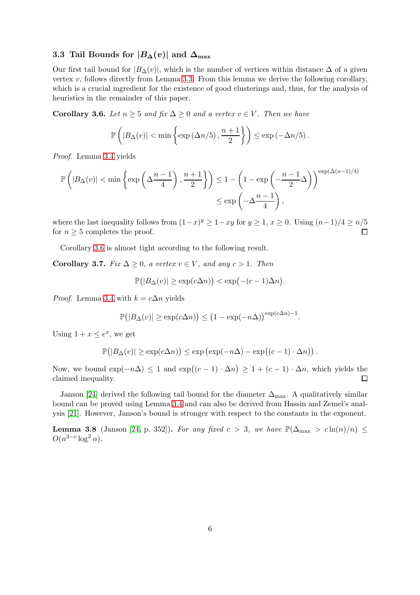## 3.3 Tail Bounds for  $|B_{\Delta}(v)|$  and  $\Delta_{\text{max}}$

Our first tail bound for  $|B_{\Delta}(v)|$ , which is the number of vertices within distance  $\Delta$  of a given vertex  $v$ , follows directly from Lemma [3.3.](#page-4-0) From this lemma we derive the following corollary, which is a crucial ingredient for the existence of good clusterings and, thus, for the analysis of heuristics in the remainder of this paper.

<span id="page-5-0"></span>Corollary 3.6. Let  $n \geq 5$  and fix  $\Delta \geq 0$  and a vertex  $v \in V$ . Then we have

$$
\mathbb{P}\left(|B_{\Delta}(v)| < \min\left\{\exp\left(\Delta n/5\right), \frac{n+1}{2}\right\}\right) \leq \exp\left(-\Delta n/5\right).
$$

Proof. Lemma [3.4](#page-4-2) yields

$$
\mathbb{P}\left(|B_{\Delta}(v)| < \min\left\{\exp\left(\Delta \frac{n-1}{4}\right), \frac{n+1}{2}\right\}\right) \le 1 - \left(1 - \exp\left(-\frac{n-1}{2}\Delta\right)\right)^{\exp(\Delta(n-1)/4)} \le \exp\left(-\Delta \frac{n-1}{4}\right),
$$

where the last inequality follows from  $(1-x)^y \ge 1-xy$  for  $y \ge 1$ ,  $x \ge 0$ . Using  $(n-1)/4 \ge n/5$ for  $n \geq 5$  completes the proof.

Corollary [3.6](#page-5-0) is almost tight according to the following result.

Corollary 3.7. Fix  $\Delta \geq 0$ , a vertex  $v \in V$ , and any  $c > 1$ . Then

$$
\mathbb{P}(|B_{\Delta}(v)| \geq \exp(c\Delta n)) < \exp(-(c-1)\Delta n).
$$

*Proof.* Lemma [3.4](#page-4-2) with  $k = c\Delta n$  yields

$$
\mathbb{P}(|B_{\Delta}(v)| \ge \exp(c\Delta n)) \le (1 - \exp(-n\Delta))^{\exp(c\Delta n) - 1}.
$$

Using  $1 + x \leq e^x$ , we get

$$
\mathbb{P}(|B_{\Delta}(v)| \geq \exp(c\Delta n)) \leq \exp(\exp(-n\Delta) - \exp((c-1)\cdot \Delta n)).
$$

Now, we bound  $\exp(-n\Delta) \leq 1$  and  $\exp((c-1) \cdot \Delta n) \geq 1 + (c-1) \cdot \Delta n$ , which yields the claimed inequality.

Janson [\[24\]](#page-17-5) derived the following tail bound for the diameter  $\Delta_{\text{max}}$ . A qualitatively similar bound can be proved using Lemma [3.4](#page-4-2) and can also be derived from Hassin and Zemel's analysis [\[21\]](#page-17-6). However, Janson's bound is stronger with respect to the constants in the exponent.

<span id="page-5-1"></span>**Lemma 3.8** (Janson [\[24,](#page-17-5) p. 352]). For any fixed  $c > 3$ , we have  $\mathbb{P}(\Delta_{\text{max}} > c \ln(n)/n) \le$  $O(n^{3-c}\log^2 n).$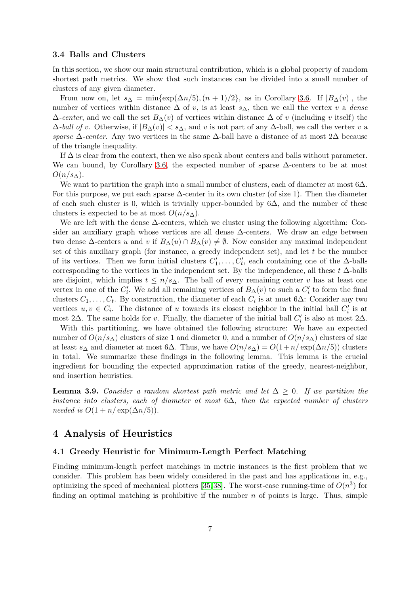#### 3.4 Balls and Clusters

In this section, we show our main structural contribution, which is a global property of random shortest path metrics. We show that such instances can be divided into a small number of clusters of any given diameter.

From now on, let  $s_{\Delta} = \min\{\exp(\Delta n/5), (n+1)/2\}$ , as in Corollary [3.6.](#page-5-0) If  $|B_{\Delta}(v)|$ , the number of vertices within distance  $\Delta$  of v, is at least  $s_{\Delta}$ , then we call the vertex v a *dense*  $\Delta$ -center, and we call the set  $B_{\Delta}(v)$  of vertices within distance  $\Delta$  of v (including v itself) the  $\Delta$ -ball of v. Otherwise, if  $|B_{\Delta}(v)| < s_{\Delta}$ , and v is not part of any  $\Delta$ -ball, we call the vertex v a sparse  $\Delta$ -center. Any two vertices in the same  $\Delta$ -ball have a distance of at most 2 $\Delta$  because of the triangle inequality.

If  $\Delta$  is clear from the context, then we also speak about centers and balls without parameter. We can bound, by Corollary [3.6,](#page-5-0) the expected number of sparse  $\Delta$ -centers to be at most  $O(n/s_{\Delta}).$ 

We want to partition the graph into a small number of clusters, each of diameter at most  $6\Delta$ . For this purpose, we put each sparse  $\Delta$ -center in its own cluster (of size 1). Then the diameter of each such cluster is 0, which is trivially upper-bounded by  $6\Delta$ , and the number of these clusters is expected to be at most  $O(n/s<sub>\Delta</sub>)$ .

We are left with the dense ∆-centers, which we cluster using the following algorithm: Consider an auxiliary graph whose vertices are all dense ∆-centers. We draw an edge between two dense  $\Delta$ -centers u and v if  $B_{\Delta}(u) \cap B_{\Delta}(v) \neq \emptyset$ . Now consider any maximal independent set of this auxiliary graph (for instance, a greedy independent set), and let  $t$  be the number of its vertices. Then we form initial clusters  $C_1'$  $C'_1, \ldots, C'_t$ , each containing one of the  $\Delta$ -balls corresponding to the vertices in the independent set. By the independence, all these  $t \Delta$ -balls are disjoint, which implies  $t \leq n/s_\Delta$ . The ball of every remaining center v has at least one vertex in one of the  $C_i'$  $j_i'$ . We add all remaining vertices of  $B_{\Delta}(v)$  to such a  $C_i'$  $i'$  to form the final clusters  $C_1, \ldots, C_t$ . By construction, the diameter of each  $C_i$  is at most 6∆: Consider any two vertices  $u, v \in C_i$ . The distance of u towards its closest neighbor in the initial ball  $C_i'$  $i'$  is at most 2 $\Delta$ . The same holds for v. Finally, the diameter of the initial ball  $C_i'$  $i_i$  is also at most 2 $\Delta$ .

With this partitioning, we have obtained the following structure: We have an expected number of  $O(n/s<sub>\Delta</sub>)$  clusters of size 1 and diameter 0, and a number of  $O(n/s<sub>\Delta</sub>)$  clusters of size at least s<sub>△</sub> and diameter at most 6△. Thus, we have  $O(n/s<sub>Δ</sub>) = O(1+n/\exp(\Delta n/5))$  clusters in total. We summarize these findings in the following lemma. This lemma is the crucial ingredient for bounding the expected approximation ratios of the greedy, nearest-neighbor, and insertion heuristics.

<span id="page-6-0"></span>**Lemma 3.9.** Consider a random shortest path metric and let  $\Delta \geq 0$ . If we partition the instance into clusters, each of diameter at most  $6\Delta$ , then the expected number of clusters needed is  $O(1 + n/\exp(\Delta n/5))$ .

## 4 Analysis of Heuristics

#### 4.1 Greedy Heuristic for Minimum-Length Perfect Matching

Finding minimum-length perfect matchings in metric instances is the first problem that we consider. This problem has been widely considered in the past and has applications in, e.g., optimizing the speed of mechanical plotters [\[35,](#page-18-7)38]. The worst-case running-time of  $O(n^3)$  for finding an optimal matching is prohibitive if the number  $n$  of points is large. Thus, simple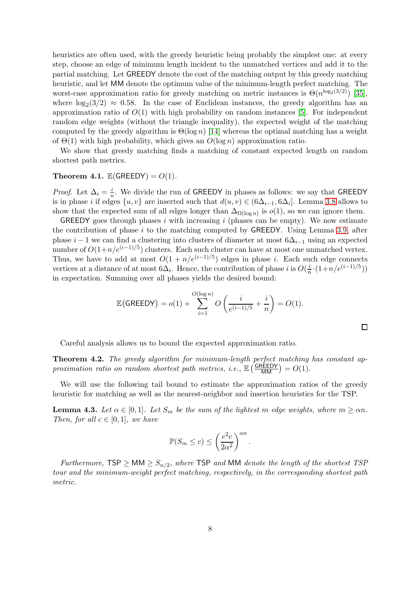heuristics are often used, with the greedy heuristic being probably the simplest one: at every step, choose an edge of minimum length incident to the unmatched vertices and add it to the partial matching. Let GREEDY denote the cost of the matching output by this greedy matching heuristic, and let MM denote the optimum value of the minimum-length perfect matching. The worst-case approximation ratio for greedy matching on metric instances is  $\Theta(n^{\log_2(3/2)})$  [\[35\]](#page-18-7), where  $\log_2(3/2) \approx 0.58$ . In the case of Euclidean instances, the greedy algorithm has an approximation ratio of  $O(1)$  with high probability on random instances [\[5\]](#page-16-2). For independent random edge weights (without the triangle inequality), the expected weight of the matching computed by the greedy algorithm is  $\Theta(\log n)$  [\[14\]](#page-17-12) whereas the optimal matching has a weight of  $\Theta(1)$  with high probability, which gives an  $O(\log n)$  approximation ratio.

We show that greedy matching finds a matching of constant expected length on random shortest path metrics.

#### <span id="page-7-1"></span>Theorem 4.1.  $\mathbb{E}(\mathsf{GREEDY}) = O(1)$ .

*Proof.* Let  $\Delta_i = \frac{i}{n}$  $\frac{i}{n}$ . We divide the run of GREEDY in phases as follows: we say that GREEDY is in phase *i* if edges  $\{u, v\}$  are inserted such that  $d(u, v) \in (6\Delta_{i-1}, 6\Delta_i]$ . Lemma [3.8](#page-5-1) allows to show that the expected sum of all edges longer than  $\Delta_{\Omega(\log n)}$  is  $o(1)$ , so we can ignore them.

GREEDY goes through phases i with increasing i (phases can be empty). We now estimate the contribution of phase  $i$  to the matching computed by GREEDY. Using Lemma [3.9,](#page-6-0) after phase  $i-1$  we can find a clustering into clusters of diameter at most  $6\Delta_{i-1}$  using an expected number of  $O(1+n/e^{(i-1)/5})$  clusters. Each such cluster can have at most one unmatched vertex. Thus, we have to add at most  $O(1 + n/e^{(i-1)/5})$  edges in phase i. Each such edge connects vertices at a distance of at most  $6\Delta_i$ . Hence, the contribution of phase i is  $O(\frac{i}{n})$  $\frac{i}{n} \cdot (1 + n/e^{(i-1)/5}))$ in expectation. Summing over all phases yields the desired bound:

$$
\mathbb{E}(\text{GREEDY}) = o(1) + \sum_{i=1}^{O(\log n)} O\left(\frac{i}{e^{(i-1)/5}} + \frac{i}{n}\right) = O(1).
$$

 $\Box$ 

Careful analysis allows us to bound the expected approximation ratio.

<span id="page-7-0"></span>Theorem 4.2. The greedy algorithm for minimum-length perfect matching has constant approximation ratio on random shortest path metrics, i.e.,  $\mathbb{E} \left( \frac{\overline{\text{GREEDY}}}{\text{MM}} \right) = O(1)$ .

We will use the following tail bound to estimate the approximation ratios of the greedy heuristic for matching as well as the nearest-neighbor and insertion heuristics for the TSP.

<span id="page-7-2"></span>**Lemma 4.3.** Let  $\alpha \in [0,1]$ . Let  $S_m$  be the sum of the lightest m edge weights, where  $m \geq \alpha n$ . Then, for all  $c \in [0,1]$ , we have

$$
\mathbb{P}(S_m \le c) \le \left(\frac{e^2c}{2\alpha^2}\right)^{\alpha n}.
$$

Furthermore,  $\mathsf{TSP} \geq \mathsf{MM} \geq S_{n/2}$ , where  $\mathsf{TSP}$  and  $\mathsf{MM}$  denote the length of the shortest  $\mathsf{TSP}$ tour and the minimum-weight perfect matching, respectively, in the corresponding shortest path metric.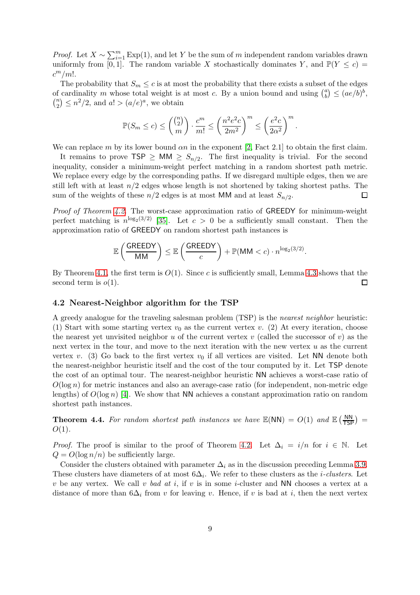*Proof.* Let  $X \sim \sum_{i=1}^{m} \text{Exp}(1)$ , and let Y be the sum of m independent random variables drawn uniformly from [0, 1]. The random variable X stochastically dominates Y, and  $\mathbb{P}(Y \leq c)$  =  $c^m/m!$ .

The probability that  $S_m \leq c$  is at most the probability that there exists a subset of the edges of cardinality m whose total weight is at most c. By a union bound and using  $\binom{a}{b}$  $\binom{a}{b} \leq (ae/b)^b,$  $\binom{n}{2}$  $\binom{n}{2} \leq n^2/2$ , and  $a! > (a/e)^a$ , we obtain

$$
\mathbb{P}(S_m \le c) \le \binom{\binom{n}{2}}{m} \cdot \frac{c^m}{m!} \le \left(\frac{n^2 e^2 c}{2m^2}\right)^m \le \left(\frac{e^2 c}{2\alpha^2}\right)^m
$$

.

We can replace m by its lower bound  $\alpha n$  in the exponent [\[2,](#page-16-3) Fact 2.1] to obtain the first claim.

It remains to prove  $\text{TSP} \geq \text{MM} \geq S_{n/2}$ . The first inequality is trivial. For the second inequality, consider a minimum-weight perfect matching in a random shortest path metric. We replace every edge by the corresponding paths. If we disregard multiple edges, then we are still left with at least  $n/2$  edges whose length is not shortened by taking shortest paths. The sum of the weights of these  $n/2$  edges is at most MM and at least  $S_{n/2}$ . □

Proof of Theorem [4.2.](#page-7-0) The worst-case approximation ratio of GREEDY for minimum-weight perfect matching is  $n^{\log_2(3/2)}$  [\[35\]](#page-18-7). Let  $c > 0$  be a sufficiently small constant. Then the approximation ratio of GREEDY on random shortest path instances is

$$
\mathbb{E}\left(\frac{\text{GREEDY}}{\text{MM}}\right) \leq \mathbb{E}\left(\frac{\text{GREEDY}}{c}\right) + \mathbb{P}(\text{MM} < c) \cdot n^{\log_2(3/2)}.
$$

By Theorem [4.1,](#page-7-1) the first term is  $O(1)$ . Since c is sufficiently small, Lemma [4.3](#page-7-2) shows that the second term is  $o(1)$ .  $\Box$ 

#### 4.2 Nearest-Neighbor algorithm for the TSP

A greedy analogue for the traveling salesman problem (TSP) is the nearest neighbor heuristic: (1) Start with some starting vertex  $v_0$  as the current vertex v. (2) At every iteration, choose the nearest yet unvisited neighbor u of the current vertex v (called the successor of v) as the next vertex in the tour, and move to the next iteration with the new vertex u as the current vertex v. (3) Go back to the first vertex  $v_0$  if all vertices are visited. Let NN denote both the nearest-neighbor heuristic itself and the cost of the tour computed by it. Let TSP denote the cost of an optimal tour. The nearest-neighbor heuristic NN achieves a worst-case ratio of  $O(\log n)$  for metric instances and also an average-case ratio (for independent, non-metric edge lengths) of  $O(\log n)$  [\[4\]](#page-16-4). We show that NN achieves a constant approximation ratio on random shortest path instances.

<span id="page-8-0"></span>**Theorem 4.4.** For random shortest path instances we have  $\mathbb{E}(NN) = O(1)$  and  $\mathbb{E}(\frac{NN}{TSP}) =$  $O(1)$ .

*Proof.* The proof is similar to the proof of Theorem [4.2.](#page-7-0) Let  $\Delta_i = i/n$  for  $i \in \mathbb{N}$ . Let  $Q = O(\log n/n)$  be sufficiently large.

Consider the clusters obtained with parameter  $\Delta_i$  as in the discussion preceding Lemma [3.9.](#page-6-0) These clusters have diameters of at most  $6\Delta_i$ . We refer to these clusters as the *i-clusters*. Let v be any vertex. We call v bad at i, if v is in some *i*-cluster and NN chooses a vertex at a distance of more than  $6\Delta_i$  from v for leaving v. Hence, if v is bad at i, then the next vertex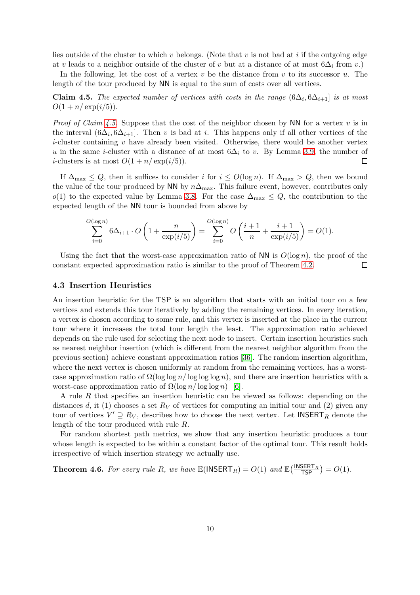lies outside of the cluster to which v belongs. (Note that v is not bad at i if the outgoing edge at v leads to a neighbor outside of the cluster of v but at a distance of at most  $6\Delta_i$  from v.)

In the following, let the cost of a vertex  $v$  be the distance from  $v$  to its successor  $u$ . The length of the tour produced by NN is equal to the sum of costs over all vertices.

<span id="page-9-1"></span>**Claim 4.5.** The expected number of vertices with costs in the range  $(6\Delta_i, 6\Delta_{i+1})$  is at most  $O(1 + n/\exp(i/5)).$ 

*Proof of Claim [4.5.](#page-9-1)* Suppose that the cost of the neighbor chosen by NN for a vertex v is in the interval  $(6\Delta_i, 6\Delta_{i+1}]$ . Then v is bad at i. This happens only if all other vertices of the *i*-cluster containing  $v$  have already been visited. Otherwise, there would be another vertex u in the same i-cluster with a distance of at most  $6\Delta_i$  to v. By Lemma [3.9,](#page-6-0) the number of *i*-clusters is at most  $O(1 + n/\exp(i/5))$ .  $\Box$ 

If  $\Delta_{\text{max}} \leq Q$ , then it suffices to consider i for  $i \leq O(\log n)$ . If  $\Delta_{\text{max}} > Q$ , then we bound the value of the tour produced by NN by  $n\Delta_{\text{max}}$ . This failure event, however, contributes only o(1) to the expected value by Lemma [3.8.](#page-5-1) For the case  $\Delta_{\text{max}} \leq Q$ , the contribution to the expected length of the NN tour is bounded from above by

$$
\sum_{i=0}^{O(\log n)} 6\Delta_{i+1} \cdot O\left(1 + \frac{n}{\exp(i/5)}\right) = \sum_{i=0}^{O(\log n)} O\left(\frac{i+1}{n} + \frac{i+1}{\exp(i/5)}\right) = O(1).
$$

Using the fact that the worst-case approximation ratio of NN is  $O(\log n)$ , the proof of the constant expected approximation ratio is similar to the proof of Theorem [4.2.](#page-7-0) П

#### 4.3 Insertion Heuristics

An insertion heuristic for the TSP is an algorithm that starts with an initial tour on a few vertices and extends this tour iteratively by adding the remaining vertices. In every iteration, a vertex is chosen according to some rule, and this vertex is inserted at the place in the current tour where it increases the total tour length the least. The approximation ratio achieved depends on the rule used for selecting the next node to insert. Certain insertion heuristics such as nearest neighbor insertion (which is different from the nearest neighbor algorithm from the previous section) achieve constant approximation ratios [\[36\]](#page-18-9). The random insertion algorithm, where the next vertex is chosen uniformly at random from the remaining vertices, has a worstcase approximation ratio of  $\Omega(\log \log n / \log \log n)$ , and there are insertion heuristics with a worst-case approximation ratio of  $\Omega(\log n / \log \log n)$  [\[6\]](#page-16-5).

A rule R that specifies an insertion heuristic can be viewed as follows: depending on the distances d, it (1) chooses a set  $R_V$  of vertices for computing an initial tour and (2) given any tour of vertices  $V' \supseteq R_V$ , describes how to choose the next vertex. Let  $\mathsf{INSERT}_R$  denote the length of the tour produced with rule R.

For random shortest path metrics, we show that any insertion heuristic produces a tour whose length is expected to be within a constant factor of the optimal tour. This result holds irrespective of which insertion strategy we actually use.

<span id="page-9-0"></span>**Theorem 4.6.** For every rule R, we have  $\mathbb{E}(\text{INSERT}_R) = O(1)$  and  $\mathbb{E}(\frac{\text{INSERT}_R}{\text{TP}}) = O(1)$ .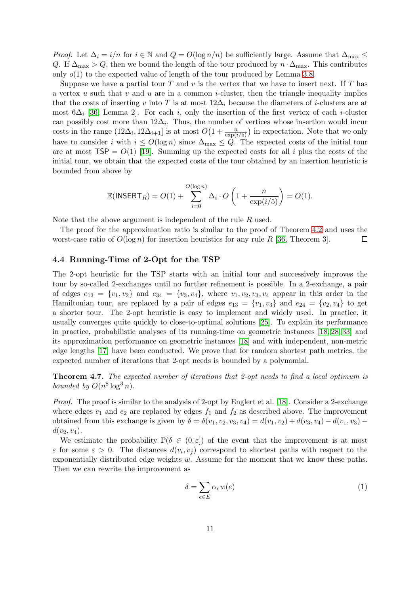*Proof.* Let  $\Delta_i = i/n$  for  $i \in \mathbb{N}$  and  $Q = O(\log n/n)$  be sufficiently large. Assume that  $\Delta_{\max} \leq$ Q. If  $\Delta_{\text{max}} > Q$ , then we bound the length of the tour produced by  $n \cdot \Delta_{\text{max}}$ . This contributes only  $o(1)$  to the expected value of length of the tour produced by Lemma [3.8.](#page-5-1)

Suppose we have a partial tour  $T$  and  $v$  is the vertex that we have to insert next. If  $T$  has a vertex u such that v and u are in a common i-cluster, then the triangle inequality implies that the costs of inserting v into T is at most  $12\Delta_i$  because the diameters of *i*-clusters are at most 6 $\Delta_i$  [\[36,](#page-18-9) Lemma 2]. For each i, only the insertion of the first vertex of each i-cluster can possibly cost more than  $12\Delta_i$ . Thus, the number of vertices whose insertion would incur costs in the range  $(12\Delta_i, 12\Delta_{i+1}]$  is at most  $O\left(1+\frac{n}{\exp(i/5)}\right)$  in expectation. Note that we only have to consider i with  $i \leq O(\log n)$  since  $\Delta_{\max} \leq Q$ . The expected costs of the initial tour are at most  $TSP = O(1)$  [\[19\]](#page-17-0). Summing up the expected costs for all i plus the costs of the initial tour, we obtain that the expected costs of the tour obtained by an insertion heuristic is bounded from above by

$$
\mathbb{E}(\mathsf{INBERT}_R) = O(1) + \sum_{i=0}^{O(\log n)} \Delta_i \cdot O\left(1 + \frac{n}{\exp(i/5)}\right) = O(1).
$$

Note that the above argument is independent of the rule R used.

The proof for the approximation ratio is similar to the proof of Theorem [4.2](#page-7-0) and uses the worst-case ratio of  $O(\log n)$  for insertion heuristics for any rule R [\[36,](#page-18-9) Theorem 3].  $\Box$ 

#### 4.4 Running-Time of 2-Opt for the TSP

The 2-opt heuristic for the TSP starts with an initial tour and successively improves the tour by so-called 2-exchanges until no further refinement is possible. In a 2-exchange, a pair of edges  $e_{12} = \{v_1, v_2\}$  and  $e_{34} = \{v_3, v_4\}$ , where  $v_1, v_2, v_3, v_4$  appear in this order in the Hamiltonian tour, are replaced by a pair of edges  $e_{13} = \{v_1, v_3\}$  and  $e_{24} = \{v_2, v_4\}$  to get a shorter tour. The 2-opt heuristic is easy to implement and widely used. In practice, it usually converges quite quickly to close-to-optimal solutions [\[25\]](#page-18-10). To explain its performance in practice, probabilistic analyses of its running-time on geometric instances [\[18,](#page-17-13) [28,](#page-18-11) [33\]](#page-18-12) and its approximation performance on geometric instances [\[18\]](#page-17-13) and with independent, non-metric edge lengths [\[17\]](#page-17-14) have been conducted. We prove that for random shortest path metrics, the expected number of iterations that 2-opt needs is bounded by a polynomial.

<span id="page-10-0"></span>Theorem 4.7. The expected number of iterations that 2-opt needs to find a local optimum is bounded by  $O(n^8 \log^3 n)$ .

Proof. The proof is similar to the analysis of 2-opt by Englert et al. [\[18\]](#page-17-13). Consider a 2-exchange where edges  $e_1$  and  $e_2$  are replaced by edges  $f_1$  and  $f_2$  as described above. The improvement obtained from this exchange is given by  $\delta = \delta(v_1, v_2, v_3, v_4) = d(v_1, v_2) + d(v_3, v_4) - d(v_1, v_3)$  $d(v_2, v_4)$ .

We estimate the probability  $\mathbb{P}(\delta \in (0,\varepsilon])$  of the event that the improvement is at most  $\varepsilon$  for some  $\varepsilon > 0$ . The distances  $d(v_i, v_j)$  correspond to shortest paths with respect to the exponentially distributed edge weights  $w$ . Assume for the moment that we know these paths. Then we can rewrite the improvement as

<span id="page-10-1"></span>
$$
\delta = \sum_{e \in E} \alpha_e w(e) \tag{1}
$$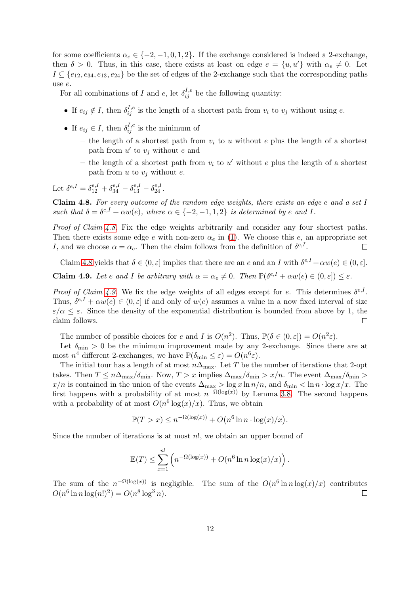for some coefficients  $\alpha_e \in \{-2, -1, 0, 1, 2\}$ . If the exchange considered is indeed a 2-exchange, then  $\delta > 0$ . Thus, in this case, there exists at least on edge  $e = \{u, u'\}$  with  $\alpha_e \neq 0$ . Let  $I \subseteq \{e_{12}, e_{34}, e_{13}, e_{24}\}\$ be the set of edges of the 2-exchange such that the corresponding paths use e.

For all combinations of I and e, let  $\delta_{ij}^{I,e}$  be the following quantity:

- If  $e_{ij} \notin I$ , then  $\delta_{ij}^{I,e}$  is the length of a shortest path from  $v_i$  to  $v_j$  without using  $e$ .
- If  $e_{ij} \in I$ , then  $\delta_{ij}^{I,e}$  is the minimum of
	- the length of a shortest path from  $v_i$  to u without e plus the length of a shortest path from  $u'$  to  $v_j$  without e and
	- the length of a shortest path from  $v_i$  to  $u'$  without e plus the length of a shortest path from  $u$  to  $v_i$  without  $e$ .

Let  $\delta^{e,I} = \delta^{e,I}_{12} + \delta^{e,I}_{34} - \delta^{e,I}_{13} - \delta^{e,I}_{24}$ .

<span id="page-11-0"></span>Claim 4.8. For every outcome of the random edge weights, there exists an edge e and a set I such that  $\delta = \delta^{e,I} + \alpha w(e)$ , where  $\alpha \in \{-2, -1, 1, 2\}$  is determined by e and I.

Proof of Claim [4.8.](#page-11-0) Fix the edge weights arbitrarily and consider any four shortest paths. Then there exists some edge e with non-zero  $\alpha_e$  in [\(1\)](#page-10-1). We choose this e, an appropriate set I, and we choose  $\alpha = \alpha_e$ . Then the claim follows from the definition of  $\delta^{e,I}$ .  $\Box$ 

Claim [4.8](#page-11-0) yields that  $\delta \in (0, \varepsilon]$  implies that there are an e and an I with  $\delta^{e,I} + \alpha w(e) \in (0, \varepsilon]$ .

<span id="page-11-1"></span>**Claim 4.9.** Let e and I be arbitrary with  $\alpha = \alpha_e \neq 0$ . Then  $\mathbb{P}(\delta^{e,I} + \alpha w(e) \in (0,\varepsilon]) \leq \varepsilon$ .

*Proof of Claim [4.9.](#page-11-1)* We fix the edge weights of all edges except for e. This determines  $\delta^{e,I}$ . Thus,  $\delta^{e,I} + \alpha w(e) \in (0,\varepsilon]$  if and only of  $w(e)$  assumes a value in a now fixed interval of size  $\varepsilon/\alpha \leq \varepsilon$ . Since the density of the exponential distribution is bounded from above by 1, the claim follows. claim follows.

The number of possible choices for e and I is  $O(n^2)$ . Thus,  $\mathbb{P}(\delta \in (0,\varepsilon]) = O(n^2\varepsilon)$ .

Let  $\delta_{\min} > 0$  be the minimum improvement made by any 2-exchange. Since there are at most  $n^4$  different 2-exchanges, we have  $\mathbb{P}(\delta_{\min} \leq \varepsilon) = O(n^6 \varepsilon)$ .

The initial tour has a length of at most  $n\Delta_{\text{max}}$ . Let T be the number of iterations that 2-opt takes. Then  $T \leq n\Delta_{\text{max}}/\delta_{\text{min}}$ . Now,  $T > x$  implies  $\Delta_{\text{max}}/\delta_{\text{min}} > x/n$ . The event  $\Delta_{\text{max}}/\delta_{\text{min}} >$  $x/n$  is contained in the union of the events  $\Delta_{\max} > \log x \ln n/n$ , and  $\delta_{\min} < \ln n \cdot \log x/x$ . The first happens with a probability of at most  $n^{-\Omega(\log(x))}$  by Lemma [3.8.](#page-5-1) The second happens with a probability of at most  $O(n^6 \log(x)/x)$ . Thus, we obtain

$$
\mathbb{P}(T > x) \le n^{-\Omega(\log(x))} + O(n^6 \ln n \cdot \log(x)/x).
$$

Since the number of iterations is at most  $n!$ , we obtain an upper bound of

$$
\mathbb{E}(T) \le \sum_{x=1}^{n!} \left( n^{-\Omega(\log(x))} + O(n^6 \ln n \log(x)/x) \right).
$$

The sum of the  $n^{-\Omega(\log(x))}$  is negligible. The sum of the  $O(n^6 \ln n \log(x)/x)$  contributes  $O(n^6 \ln n \log(n!)^2) = O(n^8 \log^3 n).$  $\Box$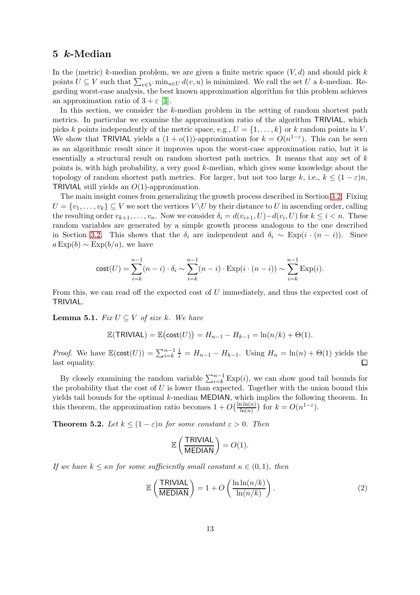# <span id="page-12-0"></span>5 k-Median

In the (metric) k-median problem, we are given a finite metric space  $(V, d)$  and should pick k points  $U \subseteq V$  such that  $\sum_{v \in V} \min_{u \in U} d(v, u)$  is minimized. We call the set U a k-median. Regarding worst-case analysis, the best known approximation algorithm for this problem achieves an approximation ratio of  $3 + \varepsilon$  [\[3\]](#page-16-6).

In this section, we consider the k-median problem in the setting of random shortest path metrics. In particular we examine the approximation ratio of the algorithm TRIVIAL, which picks k points independently of the metric space, e.g.,  $U = \{1, \ldots, k\}$  or k random points in V. We show that TRIVIAL yields a  $(1 + o(1))$ -approximation for  $k = O(n^{1-\epsilon})$ . This can be seen as an algorithmic result since it improves upon the worst-case approximation ratio, but it is essentially a structural result on random shortest path metrics. It means that any set of k points is, with high probability, a very good k-median, which gives some knowledge about the topology of random shortest path metrics. For larger, but not too large k, i.e.,  $k \leq (1 - \varepsilon)n$ , TRIVIAL still yields an  $O(1)$ -approximation.

The main insight comes from generalizing the growth process described in Section [3.2.](#page-3-3) Fixing  $U = \{v_1, \ldots, v_k\} \subseteq V$  we sort the vertices  $V \setminus U$  by their distance to U in ascending order, calling the resulting order  $v_{k+1}, \ldots, v_n$ . Now we consider  $\delta_i = d(v_{i+1}, U) - d(v_i, U)$  for  $k \leq i < n$ . These random variables are generated by a simple growth process analogous to the one described in Section [3.2.](#page-3-3) This shows that the  $\delta_i$  are independent and  $\delta_i \sim \text{Exp}(i \cdot (n - i))$ . Since  $a\operatorname{Exp}(b) \sim \operatorname{Exp}(b/a)$ , we have

$$
cost(U) = \sum_{i=k}^{n-1} (n-i) \cdot \delta_i \sim \sum_{i=k}^{n-1} (n-i) \cdot Exp(i \cdot (n-i)) \sim \sum_{i=k}^{n-1} Exp(i).
$$

From this, we can read off the expected cost of U immediately, and thus the expected cost of TRIVIAL.

<span id="page-12-2"></span>**Lemma 5.1.** Fix  $U \subseteq V$  of size k. We have

$$
\mathbb{E}(\mathsf{TRIVIAL}) = \mathbb{E}(\mathsf{cost}(U)) = H_{n-1} - H_{k-1} = \ln(n/k) + \Theta(1).
$$

*Proof.* We have  $\mathbb{E}(\text{cost}(U)) = \sum_{i=k}^{n-1} \frac{1}{i} = H_{n-1} - H_{k-1}$ . Using  $H_n = \ln(n) + \Theta(1)$  yields the last equality.

By closely examining the random variable  $\sum_{i=k}^{n-1} \text{Exp}(i)$ , we can show good tail bounds for the probability that the cost of  $U$  is lower than expected. Together with the union bound this yields tail bounds for the optimal k-median MEDIAN, which implies the following theorem. In this theorem, the approximation ratio becomes  $1 + O\left(\frac{\ln \ln(n)}{\ln(n)}\right)$  for  $k = O(n^{1-\varepsilon})$ .

<span id="page-12-1"></span>**Theorem 5.2.** Let  $k \leq (1 - \varepsilon)n$  for some constant  $\varepsilon > 0$ . Then

$$
\mathbb{E}\left(\frac{\text{TRIVIAL}}{\text{MEDIAN}}\right) = O(1).
$$

If we have  $k \leq \kappa n$  for some sufficiently small constant  $\kappa \in (0,1)$ , then

$$
\mathbb{E}\left(\frac{\text{TRIVIAL}}{\text{MEDIAN}}\right) = 1 + O\left(\frac{\ln \ln(n/k)}{\ln(n/k)}\right). \tag{2}
$$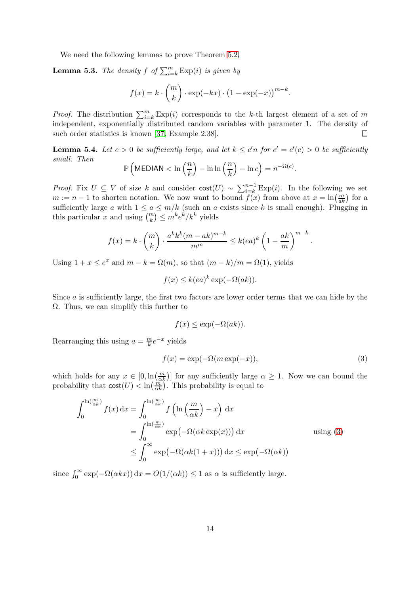We need the following lemmas to prove Theorem [5.2.](#page-12-1)

**Lemma 5.3.** The density  $f$  of  $\sum_{i=k}^{m} \text{Exp}(i)$  is given by

$$
f(x) = k \cdot {m \choose k} \cdot \exp(-kx) \cdot (1 - \exp(-x))^{m-k}.
$$

*Proof.* The distribution  $\sum_{i=k}^{m} \text{Exp}(i)$  corresponds to the k-th largest element of a set of m independent, exponentially distributed random variables with parameter 1. The density of  $\Box$ such order statistics is known [\[37,](#page-18-13) Example 2.38].

<span id="page-13-1"></span>**Lemma 5.4.** Let  $c > 0$  be sufficiently large, and let  $k \leq c'n$  for  $c' = c'(c) > 0$  be sufficiently small. Then

$$
\mathbb{P}\left(\text{MEDIAN} < \ln\left(\frac{n}{k}\right) - \ln\ln\left(\frac{n}{k}\right) - \ln c\right) = n^{-\Omega(c)}.
$$

*Proof.* Fix  $U \subseteq V$  of size k and consider  $cost(U) \sim \sum_{i=k}^{n-1} \text{Exp}(i)$ . In the following we set  $m := n - 1$  to shorten notation. We now want to bound  $f(x)$  from above at  $x = \ln(\frac{m}{ak})$  for a sufficiently large a with  $1 \le a \le m/k$  (such an a exists since k is small enough). Plugging in this particular x and using  $\binom{m}{k} \leq m^k e^k / k^k$  yields

$$
f(x) = k \cdot {m \choose k} \cdot \frac{a^k k^k (m - ak)^{m-k}}{m^m} \le k(ea)^k \left(1 - \frac{ak}{m}\right)^{m-k}.
$$

Using  $1 + x \le e^x$  and  $m - k = \Omega(m)$ , so that  $(m - k)/m = \Omega(1)$ , yields

$$
f(x) \le k(ea)^k \exp(-\Omega(ak)).
$$

Since  $\alpha$  is sufficiently large, the first two factors are lower order terms that we can hide by the  $\Omega$ . Thus, we can simplify this further to

$$
f(x) \le \exp(-\Omega(ak)).
$$

Rearranging this using  $a = \frac{m}{k}$  $\frac{m}{k}e^{-x}$  yields

<span id="page-13-0"></span>
$$
f(x) = \exp(-\Omega(m \exp(-x)), \tag{3}
$$

which holds for any  $x \in [0, \ln(\frac{m}{\alpha k})]$  for any sufficiently large  $\alpha \geq 1$ . Now we can bound the probability that  $\text{cost}(U) < \ln(\frac{m}{\alpha k})$ . This probability is equal to

$$
\int_0^{\ln(\frac{m}{\alpha k})} f(x) dx = \int_0^{\ln(\frac{m}{\alpha k})} f\left(\ln\left(\frac{m}{\alpha k}\right) - x\right) dx
$$
  
= 
$$
\int_0^{\ln(\frac{m}{\alpha k})} \exp(-\Omega(\alpha k \exp(x))) dx
$$
 using (3)  

$$
\leq \int_0^\infty \exp(-\Omega(\alpha k(1+x))) dx \leq \exp(-\Omega(\alpha k))
$$

since  $\int_0^\infty \exp(-\Omega(\alpha kx)) dx = O(1/(\alpha k)) \le 1$  as  $\alpha$  is sufficiently large.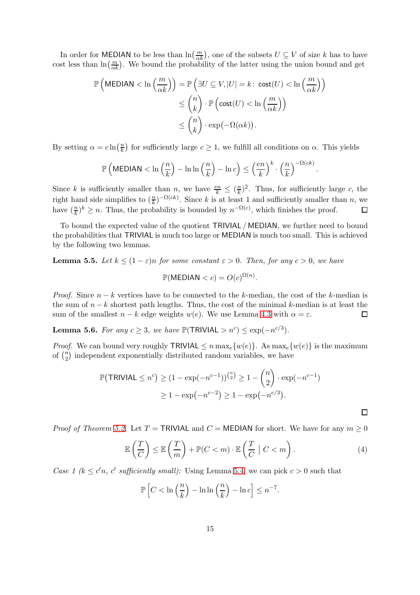In order for MEDIAN to be less than  $\ln(\frac{m}{\alpha k})$ , one of the subsets  $U \subseteq V$  of size k has to have cost less than  $\ln(\frac{m}{\alpha k})$ . We bound the probability of the latter using the union bound and get

$$
\mathbb{P}\left(\text{MEDIAN} < \ln\left(\frac{m}{\alpha k}\right)\right) = \mathbb{P}\left(\exists U \subseteq V, |U| = k \colon \text{cost}(U) < \ln\left(\frac{m}{\alpha k}\right)\right) \\
\leq \binom{n}{k} \cdot \mathbb{P}\left(\text{cost}(U) < \ln\left(\frac{m}{\alpha k}\right)\right) \\
\leq \binom{n}{k} \cdot \exp(-\Omega(\alpha k)).
$$

By setting  $\alpha = c \ln \left( \frac{n}{k} \right)$  $\frac{n}{k}$ ) for sufficiently large  $c \geq 1$ , we fulfill all conditions on  $\alpha$ . This yields

$$
\mathbb{P}\left(\text{MEDIAN} < \ln\left(\frac{n}{k}\right) - \ln\ln\left(\frac{n}{k}\right) - \ln c\right) \leq \left(\frac{en}{k}\right)^k \cdot \left(\frac{n}{k}\right)^{-\Omega(ck)}.
$$

Since k is sufficiently smaller than n, we have  $\frac{en}{k} \leq (\frac{n}{k})$  $(\frac{n}{k})^2$ . Thus, for sufficiently large c, the right hand side simplifies to  $(\frac{n}{k})^{-\Omega(ck)}$ . Since k is at least 1 and sufficiently smaller than n, we have  $(\frac{n}{k})^k \geq n$ . Thus, the probability is bounded by  $n^{-\Omega(c)}$ , which finishes the proof.  $\Box$ 

To bound the expected value of the quotient TRIVIAL / MEDIAN, we further need to bound the probabilities that TRIVIAL is much too large or MEDIAN is much too small. This is achieved by the following two lemmas.

<span id="page-14-1"></span>**Lemma 5.5.** Let  $k \leq (1 - \varepsilon)n$  for some constant  $\varepsilon > 0$ . Then, for any  $c > 0$ , we have

$$
\mathbb{P}(\text{MEDIAN} < c) = O(c)^{\Omega(n)}.
$$

*Proof.* Since  $n - k$  vertices have to be connected to the k-median, the cost of the k-median is the sum of  $n - k$  shortest path lengths. Thus, the cost of the minimal k-median is at least the sum of the smallest  $n - k$  edge weights  $w(e)$ . We use Lemma 4.3 with  $\alpha = \varepsilon$ . sum of the smallest  $n - k$  edge weights  $w(e)$ . We use Lemma [4.3](#page-7-2) with  $\alpha = \varepsilon$ .

<span id="page-14-2"></span>**Lemma 5.6.** For any  $c \geq 3$ , we have  $\mathbb{P}(\text{TRIVIAL} > n^c) \leq \exp(-n^{c/3})$ .

*Proof.* We can bound very roughly TRIVIAL  $\leq n \max_{e} \{w(e)\}\$ . As  $\max_{e} \{w(e)\}\$ is the maximum of  $\binom{n}{2}$  $n_2$ ) independent exponentially distributed random variables, we have

$$
\mathbb{P}(\text{TRIVIAL} \le n^c) \ge (1 - \exp(-n^{c-1}))^{\binom{n}{2}} \ge 1 - \binom{n}{2} \cdot \exp(-n^{c-1})
$$

$$
\ge 1 - \exp(-n^{c-2}) \ge 1 - \exp(-n^{c/3}).
$$

*Proof of Theorem [5.2.](#page-12-1)* Let  $T = \text{TRIVIAL}$  and  $C = \text{MEDIAN}$  for short. We have for any  $m \geq 0$ 

$$
\mathbb{E}\left(\frac{T}{C}\right) \leq \mathbb{E}\left(\frac{T}{m}\right) + \mathbb{P}(C < m) \cdot \mathbb{E}\left(\frac{T}{C} \mid C < m\right). \tag{4}
$$

<span id="page-14-0"></span> $\Box$ 

Case 1 ( $k \leq c'n$ , c' sufficiently small): Using Lemma [5.4,](#page-13-1) we can pick  $c > 0$  such that

$$
\mathbb{P}\left[C < \ln\left(\frac{n}{k}\right) - \ln\ln\left(\frac{n}{k}\right) - \ln c\right] \le n^{-7}.
$$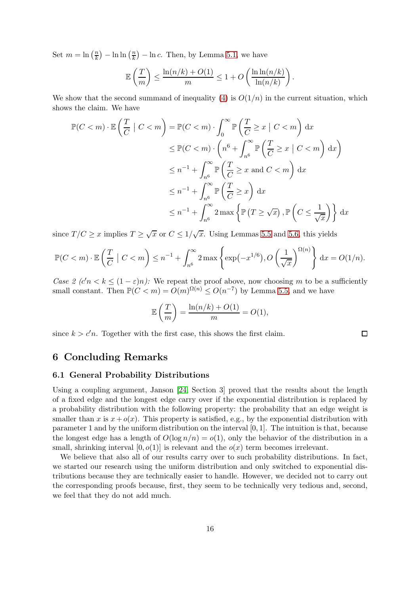Set  $m = \ln\left(\frac{n}{k}\right)$  $\frac{n}{k}$ ) – ln  $\ln\left(\frac{n}{k}\right)$  $\left(\frac{n}{k}\right) - \ln c$ . Then, by Lemma [5.1,](#page-12-2) we have

$$
\mathbb{E}\left(\frac{T}{m}\right) \le \frac{\ln(n/k) + O(1)}{m} \le 1 + O\left(\frac{\ln \ln(n/k)}{\ln(n/k)}\right).
$$

We show that the second summand of inequality [\(4\)](#page-14-0) is  $O(1/n)$  in the current situation, which shows the claim. We have

$$
\mathbb{P}(C < m) \cdot \mathbb{E}\left(\frac{T}{C} \mid C < m\right) = \mathbb{P}(C < m) \cdot \int_0^\infty \mathbb{P}\left(\frac{T}{C} \ge x \mid C < m\right) dx
$$
\n
$$
\le \mathbb{P}(C < m) \cdot \left(n^6 + \int_{n^6}^\infty \mathbb{P}\left(\frac{T}{C} \ge x \mid C < m\right) dx\right)
$$
\n
$$
\le n^{-1} + \int_{n^6}^\infty \mathbb{P}\left(\frac{T}{C} \ge x \text{ and } C < m\right) dx
$$
\n
$$
\le n^{-1} + \int_{n^6}^\infty \mathbb{P}\left(\frac{T}{C} \ge x\right) dx
$$
\n
$$
\le n^{-1} + \int_{n^6}^\infty 2 \max\left\{\mathbb{P}\left(T \ge \sqrt{x}\right), \mathbb{P}\left(C \le \frac{1}{\sqrt{x}}\right)\right\} dx
$$

since  $T/C \ge x$  implies  $T \ge \sqrt{x}$  or  $C \le 1/\sqrt{x}$ . Using Lemmas [5.5](#page-14-1) and [5.6,](#page-14-2) this yields

$$
\mathbb{P}(C < m) \cdot \mathbb{E}\left(\frac{T}{C} \mid C < m\right) \le n^{-1} + \int_{n^6}^{\infty} 2\max\left\{\exp\left(-x^{1/6}\right), O\left(\frac{1}{\sqrt{x}}\right)^{\Omega(n)}\right\} \, \mathrm{d}x = O(1/n).
$$

Case 2  $(c'n < k \leq (1-\varepsilon)n)$ : We repeat the proof above, now choosing m to be a sufficiently small constant. Then  $\mathbb{P}(C < m) = O(m)^{\Omega(n)} \leq O(n^{-7})$  by Lemma [5.5,](#page-14-1) and we have

$$
\mathbb{E}\left(\frac{T}{m}\right) = \frac{\ln(n/k) + O(1)}{m} = O(1),
$$

 $\Box$ 

<span id="page-15-0"></span>since  $k > c'n$ . Together with the first case, this shows the first claim.

### 6 Concluding Remarks

#### 6.1 General Probability Distributions

Using a coupling argument, Janson [\[24,](#page-17-5) Section 3] proved that the results about the length of a fixed edge and the longest edge carry over if the exponential distribution is replaced by a probability distribution with the following property: the probability that an edge weight is smaller than x is  $x + o(x)$ . This property is satisfied, e.g., by the exponential distribution with parameter 1 and by the uniform distribution on the interval [0, 1]. The intuition is that, because the longest edge has a length of  $O(\log n/n) = o(1)$ , only the behavior of the distribution in a small, shrinking interval  $[0, o(1)]$  is relevant and the  $o(x)$  term becomes irrelevant.

We believe that also all of our results carry over to such probability distributions. In fact, we started our research using the uniform distribution and only switched to exponential distributions because they are technically easier to handle. However, we decided not to carry out the corresponding proofs because, first, they seem to be technically very tedious and, second, we feel that they do not add much.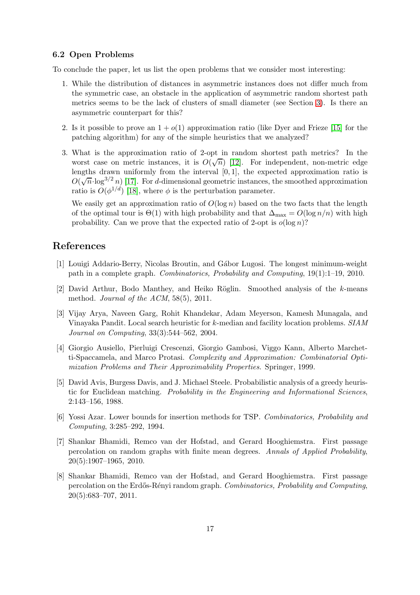#### 6.2 Open Problems

To conclude the paper, let us list the open problems that we consider most interesting:

- 1. While the distribution of distances in asymmetric instances does not differ much from the symmetric case, an obstacle in the application of asymmetric random shortest path metrics seems to be the lack of clusters of small diameter (see Section [3\)](#page-3-0). Is there an asymmetric counterpart for this?
- 2. Is it possible to prove an  $1 + o(1)$  approximation ratio (like Dyer and Frieze [\[15\]](#page-17-8) for the patching algorithm) for any of the simple heuristics that we analyzed?
- 3. What is the approximation ratio of 2-opt in random shortest path metrics? In the worst case on metric instances, it is  $O(\sqrt{n})$  [\[12\]](#page-17-15). For independent, non-metric edge lengths drawn uniformly from the interval  $[0, 1]$ , the expected approximation ratio is  $O(\sqrt{n}\cdot \log^{3/2} n)$  [\[17\]](#page-17-14). For d-dimensional geometric instances, the smoothed approximation ratio is  $O(\phi^{1/d})$  [\[18\]](#page-17-13), where  $\phi$  is the perturbation parameter.

We easily get an approximation ratio of  $O(\log n)$  based on the two facts that the length of the optimal tour is  $\Theta(1)$  with high probability and that  $\Delta_{\text{max}} = O(\log n/n)$  with high probability. Can we prove that the expected ratio of 2-opt is  $o(\log n)$ ?

# <span id="page-16-1"></span>References

- <span id="page-16-3"></span>[1] Louigi Addario-Berry, Nicolas Broutin, and G´abor Lugosi. The longest minimum-weight path in a complete graph. Combinatorics, Probability and Computing, 19(1):1–19, 2010.
- [2] David Arthur, Bodo Manthey, and Heiko Röglin. Smoothed analysis of the k-means method. *Journal of the ACM*, 58(5), 2011.
- <span id="page-16-6"></span>[3] Vijay Arya, Naveen Garg, Rohit Khandekar, Adam Meyerson, Kamesh Munagala, and Vinayaka Pandit. Local search heuristic for k-median and facility location problems. SIAM Journal on Computing, 33(3):544–562, 2004.
- <span id="page-16-4"></span>[4] Giorgio Ausiello, Pierluigi Crescenzi, Giorgio Gambosi, Viggo Kann, Alberto Marchetti-Spaccamela, and Marco Protasi. Complexity and Approximation: Combinatorial Optimization Problems and Their Approximability Properties. Springer, 1999.
- <span id="page-16-2"></span>[5] David Avis, Burgess Davis, and J. Michael Steele. Probabilistic analysis of a greedy heuristic for Euclidean matching. Probability in the Engineering and Informational Sciences, 2:143–156, 1988.
- <span id="page-16-5"></span>[6] Yossi Azar. Lower bounds for insertion methods for TSP. Combinatorics, Probability and Computing, 3:285–292, 1994.
- <span id="page-16-0"></span>[7] Shankar Bhamidi, Remco van der Hofstad, and Gerard Hooghiemstra. First passage percolation on random graphs with finite mean degrees. Annals of Applied Probability, 20(5):1907–1965, 2010.
- [8] Shankar Bhamidi, Remco van der Hofstad, and Gerard Hooghiemstra. First passage percolation on the Erdős-Rényi random graph. Combinatorics, Probability and Computing, 20(5):683–707, 2011.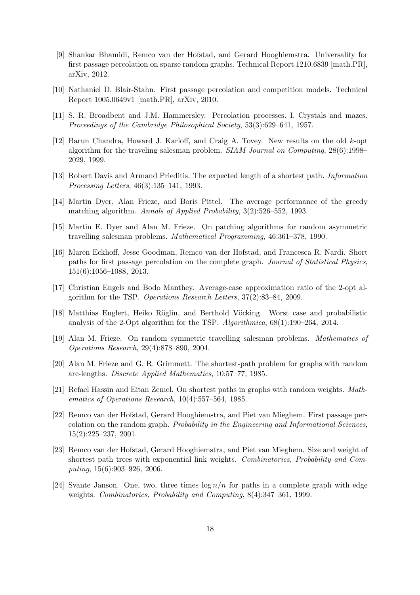- <span id="page-17-10"></span>[9] Shankar Bhamidi, Remco van der Hofstad, and Gerard Hooghiemstra. Universality for first passage percolation on sparse random graphs. Technical Report 1210.6839 [math.PR], arXiv, 2012.
- <span id="page-17-2"></span><span id="page-17-1"></span>[10] Nathaniel D. Blair-Stahn. First passage percolation and competition models. Technical Report 1005.0649v1 [math.PR], arXiv, 2010.
- <span id="page-17-15"></span>[11] S. R. Broadbent and J.M. Hammersley. Percolation processes. I. Crystals and mazes. Proceedings of the Cambridge Philosophical Society, 53(3):629–641, 1957.
- [12] Barun Chandra, Howard J. Karloff, and Craig A. Tovey. New results on the old k-opt algorithm for the traveling salesman problem. SIAM Journal on Computing, 28(6):1998– 2029, 1999.
- <span id="page-17-12"></span><span id="page-17-4"></span>[13] Robert Davis and Armand Prieditis. The expected length of a shortest path. Information Processing Letters, 46(3):135–141, 1993.
- <span id="page-17-8"></span>[14] Martin Dyer, Alan Frieze, and Boris Pittel. The average performance of the greedy matching algorithm. Annals of Applied Probability, 3(2):526–552, 1993.
- <span id="page-17-3"></span>[15] Martin E. Dyer and Alan M. Frieze. On patching algorithms for random asymmetric travelling salesman problems. Mathematical Programming, 46:361–378, 1990.
- [16] Maren Eckhoff, Jesse Goodman, Remco van der Hofstad, and Francesca R. Nardi. Short paths for first passage percolation on the complete graph. Journal of Statistical Physics, 151(6):1056–1088, 2013.
- <span id="page-17-14"></span>[17] Christian Engels and Bodo Manthey. Average-case approximation ratio of the 2-opt algorithm for the TSP. Operations Research Letters, 37(2):83–84, 2009.
- <span id="page-17-13"></span><span id="page-17-0"></span>[18] Matthias Englert, Heiko Röglin, and Berthold Vöcking. Worst case and probabilistic analysis of the 2-Opt algorithm for the TSP. Algorithmica, 68(1):190–264, 2014.
- <span id="page-17-7"></span>[19] Alan M. Frieze. On random symmetric travelling salesman problems. Mathematics of Operations Research, 29(4):878–890, 2004.
- <span id="page-17-6"></span>[20] Alan M. Frieze and G. R. Grimmett. The shortest-path problem for graphs with random arc-lengths. Discrete Applied Mathematics, 10:57–77, 1985.
- [21] Refael Hassin and Eitan Zemel. On shortest paths in graphs with random weights. Mathematics of Operations Research, 10(4):557–564, 1985.
- <span id="page-17-11"></span>[22] Remco van der Hofstad, Gerard Hooghiemstra, and Piet van Mieghem. First passage percolation on the random graph. Probability in the Engineering and Informational Sciences, 15(2):225–237, 2001.
- <span id="page-17-9"></span>[23] Remco van der Hofstad, Gerard Hooghiemstra, and Piet van Mieghem. Size and weight of shortest path trees with exponential link weights. Combinatorics, Probability and Computing, 15(6):903–926, 2006.
- <span id="page-17-5"></span>[24] Svante Janson. One, two, three times  $\log n/n$  for paths in a complete graph with edge weights. Combinatorics, Probability and Computing, 8(4):347–361, 1999.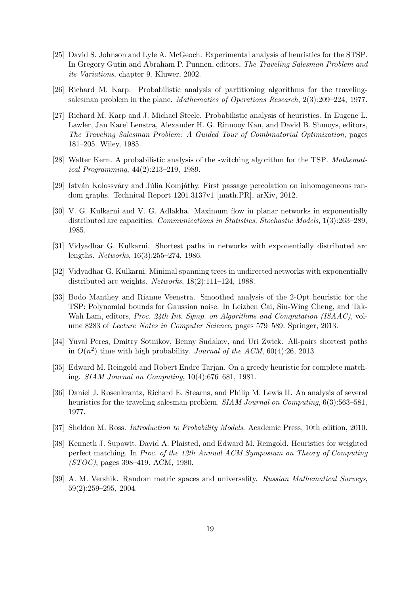- <span id="page-18-10"></span>[25] David S. Johnson and Lyle A. McGeoch. Experimental analysis of heuristics for the STSP. In Gregory Gutin and Abraham P. Punnen, editors, The Traveling Salesman Problem and its Variations, chapter 9. Kluwer, 2002.
- <span id="page-18-2"></span><span id="page-18-0"></span>[26] Richard M. Karp. Probabilistic analysis of partitioning algorithms for the travelingsalesman problem in the plane. Mathematics of Operations Research, 2(3):209–224, 1977.
- [27] Richard M. Karp and J. Michael Steele. Probabilistic analysis of heuristics. In Eugene L. Lawler, Jan Karel Lenstra, Alexander H. G. Rinnooy Kan, and David B. Shmoys, editors, The Traveling Salesman Problem: A Guided Tour of Combinatorial Optimization, pages 181–205. Wiley, 1985.
- <span id="page-18-11"></span><span id="page-18-6"></span>[28] Walter Kern. A probabilistic analysis of the switching algorithm for the TSP. Mathematical Programming, 44(2):213–219, 1989.
- <span id="page-18-4"></span>[29] István Kolossváry and Júlia Komjáthy. First passage percolation on inhomogeneous random graphs. Technical Report 1201.3137v1 [math.PR], arXiv, 2012.
- [30] V. G. Kulkarni and V. G. Adlakha. Maximum flow in planar networks in exponentially distributed arc capacities. Communications in Statistics. Stochastic Models, 1(3):263–289, 1985.
- <span id="page-18-5"></span>[31] Vidyadhar G. Kulkarni. Shortest paths in networks with exponentially distributed arc lengths. Networks, 16(3):255–274, 1986.
- <span id="page-18-12"></span>[32] Vidyadhar G. Kulkarni. Minimal spanning trees in undirected networks with exponentially distributed arc weights. Networks, 18(2):111–124, 1988.
- [33] Bodo Manthey and Rianne Veenstra. Smoothed analysis of the 2-Opt heuristic for the TSP: Polynomial bounds for Gaussian noise. In Leizhen Cai, Siu-Wing Cheng, and Tak-Wah Lam, editors, *Proc. 24th Int. Symp.* on Algorithms and Computation *(ISAAC)*, volume 8283 of Lecture Notes in Computer Science, pages 579–589. Springer, 2013.
- <span id="page-18-3"></span>[34] Yuval Peres, Dmitry Sotnikov, Benny Sudakov, and Uri Zwick. All-pairs shortest paths in  $O(n^2)$  time with high probability. Journal of the ACM, 60(4):26, 2013.
- <span id="page-18-7"></span>[35] Edward M. Reingold and Robert Endre Tarjan. On a greedy heuristic for complete matching. SIAM Journal on Computing, 10(4):676–681, 1981.
- <span id="page-18-9"></span>[36] Daniel J. Rosenkrantz, Richard E. Stearns, and Philip M. Lewis II. An analysis of several heuristics for the traveling salesman problem. SIAM Journal on Computing, 6(3):563–581, 1977.
- <span id="page-18-13"></span><span id="page-18-8"></span>[37] Sheldon M. Ross. Introduction to Probability Models. Academic Press, 10th edition, 2010.
- [38] Kenneth J. Supowit, David A. Plaisted, and Edward M. Reingold. Heuristics for weighted perfect matching. In Proc. of the 12th Annual ACM Symposium on Theory of Computing (STOC), pages 398–419. ACM, 1980.
- <span id="page-18-1"></span>[39] A. M. Vershik. Random metric spaces and universality. Russian Mathematical Surveys, 59(2):259–295, 2004.